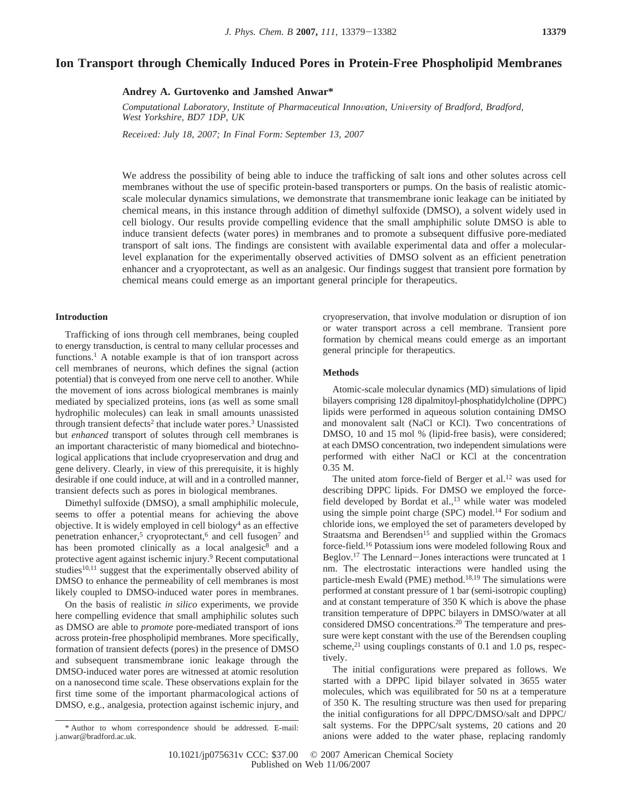# **Ion Transport through Chemically Induced Pores in Protein-Free Phospholipid Membranes**

**Andrey A. Gurtovenko and Jamshed Anwar\***

*Computational Laboratory, Institute of Pharmaceutical Inno*V*ation, Uni*V*ersity of Bradford, Bradford, West Yorkshire, BD7 1DP, UK*

*Recei*V*ed: July 18, 2007; In Final Form: September 13, 2007*

We address the possibility of being able to induce the trafficking of salt ions and other solutes across cell membranes without the use of specific protein-based transporters or pumps. On the basis of realistic atomicscale molecular dynamics simulations, we demonstrate that transmembrane ionic leakage can be initiated by chemical means, in this instance through addition of dimethyl sulfoxide (DMSO), a solvent widely used in cell biology. Our results provide compelling evidence that the small amphiphilic solute DMSO is able to induce transient defects (water pores) in membranes and to promote a subsequent diffusive pore-mediated transport of salt ions. The findings are consistent with available experimental data and offer a molecularlevel explanation for the experimentally observed activities of DMSO solvent as an efficient penetration enhancer and a cryoprotectant, as well as an analgesic. Our findings suggest that transient pore formation by chemical means could emerge as an important general principle for therapeutics.

## **Introduction**

Trafficking of ions through cell membranes, being coupled to energy transduction, is central to many cellular processes and functions.<sup>1</sup> A notable example is that of ion transport across cell membranes of neurons, which defines the signal (action potential) that is conveyed from one nerve cell to another. While the movement of ions across biological membranes is mainly mediated by specialized proteins, ions (as well as some small hydrophilic molecules) can leak in small amounts unassisted through transient defects<sup>2</sup> that include water pores.<sup>3</sup> Unassisted but *enhanced* transport of solutes through cell membranes is an important characteristic of many biomedical and biotechnological applications that include cryopreservation and drug and gene delivery. Clearly, in view of this prerequisite, it is highly desirable if one could induce, at will and in a controlled manner, transient defects such as pores in biological membranes.

Dimethyl sulfoxide (DMSO), a small amphiphilic molecule, seems to offer a potential means for achieving the above objective. It is widely employed in cell biology<sup>4</sup> as an effective penetration enhancer,<sup>5</sup> cryoprotectant,<sup>6</sup> and cell fusogen<sup>7</sup> and has been promoted clinically as a local analgesic<sup>8</sup> and a protective agent against ischemic injury.9 Recent computational studies $10,11$  suggest that the experimentally observed ability of DMSO to enhance the permeability of cell membranes is most likely coupled to DMSO-induced water pores in membranes.

On the basis of realistic *in silico* experiments, we provide here compelling evidence that small amphiphilic solutes such as DMSO are able to *promote* pore-mediated transport of ions across protein-free phospholipid membranes. More specifically, formation of transient defects (pores) in the presence of DMSO and subsequent transmembrane ionic leakage through the DMSO-induced water pores are witnessed at atomic resolution on a nanosecond time scale. These observations explain for the first time some of the important pharmacological actions of DMSO, e.g., analgesia, protection against ischemic injury, and

cryopreservation, that involve modulation or disruption of ion or water transport across a cell membrane. Transient pore formation by chemical means could emerge as an important general principle for therapeutics.

#### **Methods**

Atomic-scale molecular dynamics (MD) simulations of lipid bilayers comprising 128 dipalmitoyl-phosphatidylcholine (DPPC) lipids were performed in aqueous solution containing DMSO and monovalent salt (NaCl or KCl). Two concentrations of DMSO, 10 and 15 mol % (lipid-free basis), were considered; at each DMSO concentration, two independent simulations were performed with either NaCl or KCl at the concentration 0.35 M.

The united atom force-field of Berger et al.<sup>12</sup> was used for describing DPPC lipids. For DMSO we employed the forcefield developed by Bordat et al., $^{13}$  while water was modeled using the simple point charge (SPC) model.<sup>14</sup> For sodium and chloride ions, we employed the set of parameters developed by Straatsma and Berendsen<sup>15</sup> and supplied within the Gromacs force-field.16 Potassium ions were modeled following Roux and Beglov.17 The Lennard-Jones interactions were truncated at 1 nm. The electrostatic interactions were handled using the particle-mesh Ewald (PME) method.<sup>18,19</sup> The simulations were performed at constant pressure of 1 bar (semi-isotropic coupling) and at constant temperature of 350 K which is above the phase transition temperature of DPPC bilayers in DMSO/water at all considered DMSO concentrations.20 The temperature and pressure were kept constant with the use of the Berendsen coupling scheme, $^{21}$  using couplings constants of 0.1 and 1.0 ps, respectively.

The initial configurations were prepared as follows. We started with a DPPC lipid bilayer solvated in 3655 water molecules, which was equilibrated for 50 ns at a temperature of 350 K. The resulting structure was then used for preparing the initial configurations for all DPPC/DMSO/salt and DPPC/ salt systems. For the DPPC/salt systems, 20 cations and 20 anions were added to the water phase, replacing randomly

<sup>\*</sup> Author to whom correspondence should be addressed. E-mail: j.anwar@bradford.ac.uk.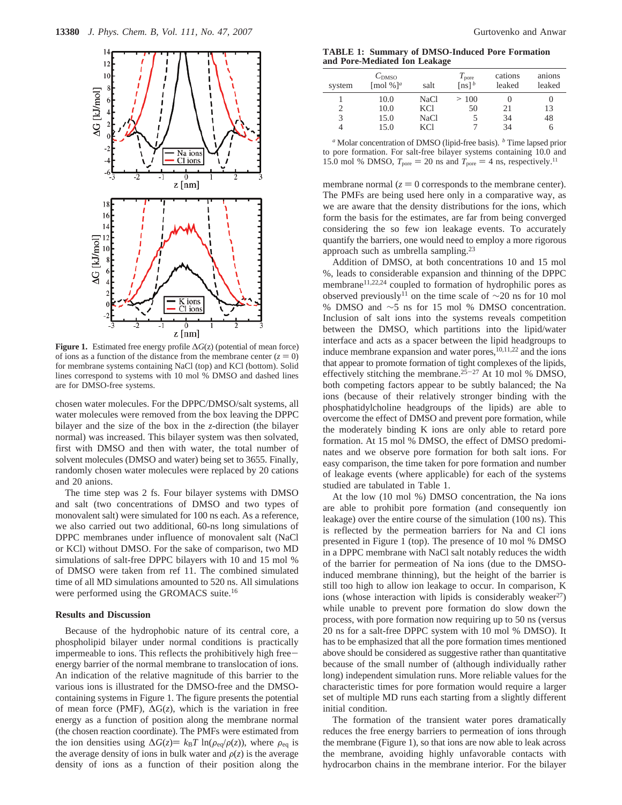

**Figure 1.** Estimated free energy profile ∆*G*(z) (potential of mean force) of ions as a function of the distance from the membrane center  $(z = 0)$ for membrane systems containing NaCl (top) and KCl (bottom). Solid lines correspond to systems with 10 mol % DMSO and dashed lines are for DMSO-free systems.

chosen water molecules. For the DPPC/DMSO/salt systems, all water molecules were removed from the box leaving the DPPC bilayer and the size of the box in the *z*-direction (the bilayer normal) was increased. This bilayer system was then solvated, first with DMSO and then with water, the total number of solvent molecules (DMSO and water) being set to 3655. Finally, randomly chosen water molecules were replaced by 20 cations and 20 anions.

The time step was 2 fs. Four bilayer systems with DMSO and salt (two concentrations of DMSO and two types of monovalent salt) were simulated for 100 ns each. As a reference, we also carried out two additional, 60-ns long simulations of DPPC membranes under influence of monovalent salt (NaCl or KCl) without DMSO. For the sake of comparison, two MD simulations of salt-free DPPC bilayers with 10 and 15 mol % of DMSO were taken from ref 11. The combined simulated time of all MD simulations amounted to 520 ns. All simulations were performed using the GROMACS suite.16

### **Results and Discussion**

Because of the hydrophobic nature of its central core, a phospholipid bilayer under normal conditions is practically impermeable to ions. This reflects the prohibitively high freeenergy barrier of the normal membrane to translocation of ions. An indication of the relative magnitude of this barrier to the various ions is illustrated for the DMSO-free and the DMSOcontaining systems in Figure 1. The figure presents the potential of mean force (PMF), ∆G(*z*), which is the variation in free energy as a function of position along the membrane normal (the chosen reaction coordinate). The PMFs were estimated from the ion densities using  $\Delta G(z) = k_B T \ln(\rho_{eq}/\rho(z))$ , where  $\rho_{eq}$  is the average density of ions in bulk water and  $\rho(z)$  is the average density of ions as a function of their position along the

**TABLE 1: Summary of DMSO-Induced Pore Formation and Pore-Mediated Ion Leakage**

| system                      | $C_{\text{DMSO}}$<br>[mol %] <sup>a</sup> | salt        | $T_{\rm{pore}}$<br>$[ns]$ <sup>b</sup> | cations<br>leaked | anions<br>leaked |
|-----------------------------|-------------------------------------------|-------------|----------------------------------------|-------------------|------------------|
|                             | 10.0                                      | NaCl        | >100                                   |                   |                  |
| $\mathcal{D}_{\mathcal{L}}$ | 10.0                                      | <b>KCI</b>  | 50                                     | 21                | 13               |
| 3                           | 15.0                                      | <b>NaCl</b> |                                        | 34                | 48               |
| 4                           | 15.0                                      | <b>KCI</b>  |                                        | 34                | 0                |

*<sup>a</sup>* Molar concentration of DMSO (lipid-free basis). *<sup>b</sup>* Time lapsed prior to pore formation. For salt-free bilayer systems containing 10.0 and 15.0 mol % DMSO,  $T_{\text{pore}} = 20$  ns and  $T_{\text{pore}} = 4$  ns, respectively.<sup>11</sup>

membrane normal  $(z = 0$  corresponds to the membrane center). The PMFs are being used here only in a comparative way, as we are aware that the density distributions for the ions, which form the basis for the estimates, are far from being converged considering the so few ion leakage events. To accurately quantify the barriers, one would need to employ a more rigorous approach such as umbrella sampling.23

Addition of DMSO, at both concentrations 10 and 15 mol %, leads to considerable expansion and thinning of the DPPC membrane<sup>11,22,24</sup> coupled to formation of hydrophilic pores as observed previously<sup>11</sup> on the time scale of  $\sim$ 20 ns for 10 mol % DMSO and ∼5 ns for 15 mol % DMSO concentration. Inclusion of salt ions into the systems reveals competition between the DMSO, which partitions into the lipid/water interface and acts as a spacer between the lipid headgroups to induce membrane expansion and water pores, $10,11,22$  and the ions that appear to promote formation of tight complexes of the lipids, effectively stitching the membrane.<sup>25-27</sup> At 10 mol % DMSO, both competing factors appear to be subtly balanced; the Na ions (because of their relatively stronger binding with the phosphatidylcholine headgroups of the lipids) are able to overcome the effect of DMSO and prevent pore formation, while the moderately binding K ions are only able to retard pore formation. At 15 mol % DMSO, the effect of DMSO predominates and we observe pore formation for both salt ions. For easy comparison, the time taken for pore formation and number of leakage events (where applicable) for each of the systems studied are tabulated in Table 1.

At the low (10 mol %) DMSO concentration, the Na ions are able to prohibit pore formation (and consequently ion leakage) over the entire course of the simulation (100 ns). This is reflected by the permeation barriers for Na and Cl ions presented in Figure 1 (top). The presence of 10 mol % DMSO in a DPPC membrane with NaCl salt notably reduces the width of the barrier for permeation of Na ions (due to the DMSOinduced membrane thinning), but the height of the barrier is still too high to allow ion leakage to occur. In comparison, K ions (whose interaction with lipids is considerably weaker $27$ ) while unable to prevent pore formation do slow down the process, with pore formation now requiring up to 50 ns (versus 20 ns for a salt-free DPPC system with 10 mol % DMSO). It has to be emphasized that all the pore formation times mentioned above should be considered as suggestive rather than quantitative because of the small number of (although individually rather long) independent simulation runs. More reliable values for the characteristic times for pore formation would require a larger set of multiple MD runs each starting from a slightly different initial condition.

The formation of the transient water pores dramatically reduces the free energy barriers to permeation of ions through the membrane (Figure 1), so that ions are now able to leak across the membrane, avoiding highly unfavorable contacts with hydrocarbon chains in the membrane interior. For the bilayer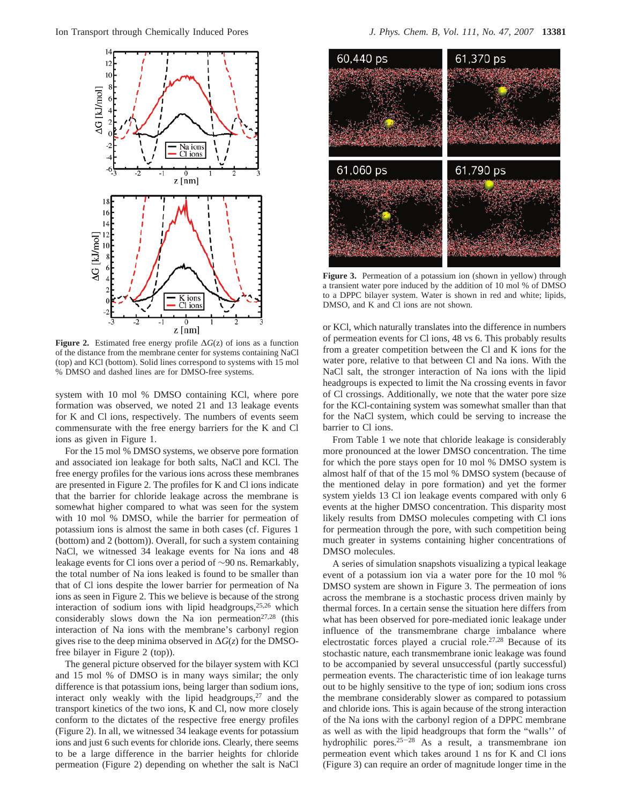

**Figure 2.** Estimated free energy profile ∆*G*(z) of ions as a function of the distance from the membrane center for systems containing NaCl (top) and KCl (bottom). Solid lines correspond to systems with 15 mol % DMSO and dashed lines are for DMSO-free systems.

system with 10 mol % DMSO containing KCl, where pore formation was observed, we noted 21 and 13 leakage events for K and Cl ions, respectively. The numbers of events seem commensurate with the free energy barriers for the K and Cl ions as given in Figure 1.

For the 15 mol % DMSO systems, we observe pore formation and associated ion leakage for both salts, NaCl and KCl. The free energy profiles for the various ions across these membranes are presented in Figure 2. The profiles for K and Cl ions indicate that the barrier for chloride leakage across the membrane is somewhat higher compared to what was seen for the system with 10 mol % DMSO, while the barrier for permeation of potassium ions is almost the same in both cases (cf. Figures 1 (bottom) and 2 (bottom)). Overall, for such a system containing NaCl, we witnessed 34 leakage events for Na ions and 48 leakage events for Cl ions over a period of ∼90 ns. Remarkably, the total number of Na ions leaked is found to be smaller than that of Cl ions despite the lower barrier for permeation of Na ions as seen in Figure 2. This we believe is because of the strong interaction of sodium ions with lipid headgroups,<sup>25,26</sup> which considerably slows down the Na ion permeation<sup>27,28</sup> (this interaction of Na ions with the membrane's carbonyl region gives rise to the deep minima observed in ∆*G*(*z*) for the DMSOfree bilayer in Figure 2 (top)).

The general picture observed for the bilayer system with KCl and 15 mol % of DMSO is in many ways similar; the only difference is that potassium ions, being larger than sodium ions, interact only weakly with the lipid headgroups, $27$  and the transport kinetics of the two ions, K and Cl, now more closely conform to the dictates of the respective free energy profiles (Figure 2). In all, we witnessed 34 leakage events for potassium ions and just 6 such events for chloride ions. Clearly, there seems to be a large difference in the barrier heights for chloride permeation (Figure 2) depending on whether the salt is NaCl



**Figure 3.** Permeation of a potassium ion (shown in yellow) through a transient water pore induced by the addition of 10 mol % of DMSO to a DPPC bilayer system. Water is shown in red and white; lipids, DMSO, and K and Cl ions are not shown.

or KCl, which naturally translates into the difference in numbers of permeation events for Cl ions, 48 vs 6. This probably results from a greater competition between the Cl and K ions for the water pore, relative to that between Cl and Na ions. With the NaCl salt, the stronger interaction of Na ions with the lipid headgroups is expected to limit the Na crossing events in favor of Cl crossings. Additionally, we note that the water pore size for the KCl-containing system was somewhat smaller than that for the NaCl system, which could be serving to increase the barrier to Cl ions.

From Table 1 we note that chloride leakage is considerably more pronounced at the lower DMSO concentration. The time for which the pore stays open for 10 mol % DMSO system is almost half of that of the 15 mol % DMSO system (because of the mentioned delay in pore formation) and yet the former system yields 13 Cl ion leakage events compared with only 6 events at the higher DMSO concentration. This disparity most likely results from DMSO molecules competing with Cl ions for permeation through the pore, with such competition being much greater in systems containing higher concentrations of DMSO molecules.

A series of simulation snapshots visualizing a typical leakage event of a potassium ion via a water pore for the 10 mol % DMSO system are shown in Figure 3. The permeation of ions across the membrane is a stochastic process driven mainly by thermal forces. In a certain sense the situation here differs from what has been observed for pore-mediated ionic leakage under influence of the transmembrane charge imbalance where electrostatic forces played a crucial role.27,28 Because of its stochastic nature, each transmembrane ionic leakage was found to be accompanied by several unsuccessful (partly successful) permeation events. The characteristic time of ion leakage turns out to be highly sensitive to the type of ion; sodium ions cross the membrane considerably slower as compared to potassium and chloride ions. This is again because of the strong interaction of the Na ions with the carbonyl region of a DPPC membrane as well as with the lipid headgroups that form the "walls'' of hydrophilic pores.<sup>25-28</sup> As a result, a transmembrane ion permeation event which takes around 1 ns for K and Cl ions (Figure 3) can require an order of magnitude longer time in the